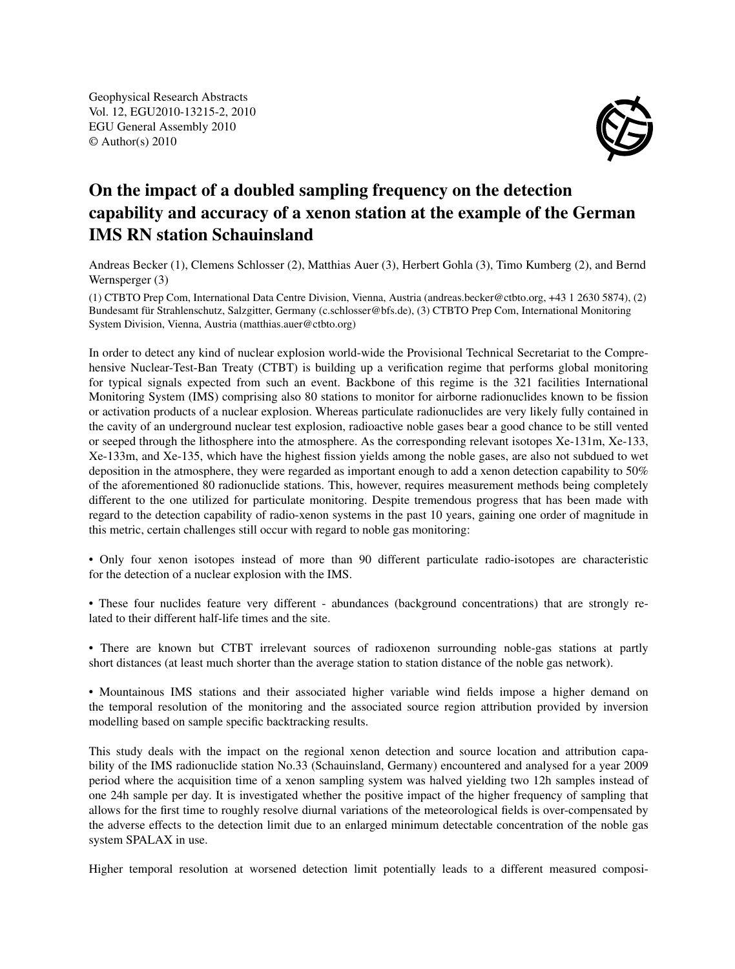Geophysical Research Abstracts Vol. 12, EGU2010-13215-2, 2010 EGU General Assembly 2010 © Author(s) 2010



## On the impact of a doubled sampling frequency on the detection capability and accuracy of a xenon station at the example of the German IMS RN station Schauinsland

Andreas Becker (1), Clemens Schlosser (2), Matthias Auer (3), Herbert Gohla (3), Timo Kumberg (2), and Bernd Wernsperger (3)

(1) CTBTO Prep Com, International Data Centre Division, Vienna, Austria (andreas.becker@ctbto.org, +43 1 2630 5874), (2) Bundesamt für Strahlenschutz, Salzgitter, Germany (c.schlosser@bfs.de), (3) CTBTO Prep Com, International Monitoring System Division, Vienna, Austria (matthias.auer@ctbto.org)

In order to detect any kind of nuclear explosion world-wide the Provisional Technical Secretariat to the Comprehensive Nuclear-Test-Ban Treaty (CTBT) is building up a verification regime that performs global monitoring for typical signals expected from such an event. Backbone of this regime is the 321 facilities International Monitoring System (IMS) comprising also 80 stations to monitor for airborne radionuclides known to be fission or activation products of a nuclear explosion. Whereas particulate radionuclides are very likely fully contained in the cavity of an underground nuclear test explosion, radioactive noble gases bear a good chance to be still vented or seeped through the lithosphere into the atmosphere. As the corresponding relevant isotopes Xe-131m, Xe-133, Xe-133m, and Xe-135, which have the highest fission yields among the noble gases, are also not subdued to wet deposition in the atmosphere, they were regarded as important enough to add a xenon detection capability to 50% of the aforementioned 80 radionuclide stations. This, however, requires measurement methods being completely different to the one utilized for particulate monitoring. Despite tremendous progress that has been made with regard to the detection capability of radio-xenon systems in the past 10 years, gaining one order of magnitude in this metric, certain challenges still occur with regard to noble gas monitoring:

• Only four xenon isotopes instead of more than 90 different particulate radio-isotopes are characteristic for the detection of a nuclear explosion with the IMS.

• These four nuclides feature very different - abundances (background concentrations) that are strongly related to their different half-life times and the site.

• There are known but CTBT irrelevant sources of radioxenon surrounding noble-gas stations at partly short distances (at least much shorter than the average station to station distance of the noble gas network).

• Mountainous IMS stations and their associated higher variable wind fields impose a higher demand on the temporal resolution of the monitoring and the associated source region attribution provided by inversion modelling based on sample specific backtracking results.

This study deals with the impact on the regional xenon detection and source location and attribution capability of the IMS radionuclide station No.33 (Schauinsland, Germany) encountered and analysed for a year 2009 period where the acquisition time of a xenon sampling system was halved yielding two 12h samples instead of one 24h sample per day. It is investigated whether the positive impact of the higher frequency of sampling that allows for the first time to roughly resolve diurnal variations of the meteorological fields is over-compensated by the adverse effects to the detection limit due to an enlarged minimum detectable concentration of the noble gas system SPALAX in use.

Higher temporal resolution at worsened detection limit potentially leads to a different measured composi-